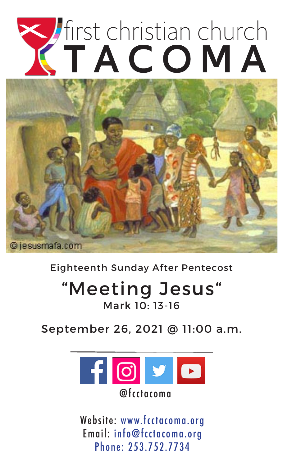# Tirst christian church



Eighteenth Sunday After Pentecost

# "Meeting Jesus" Mark 10: 13-16

September 26, 2021 @ 11:00 a.m.



Website: www.fcctacoma.org Email: info@fcctacoma.org Phone: 253.752.7734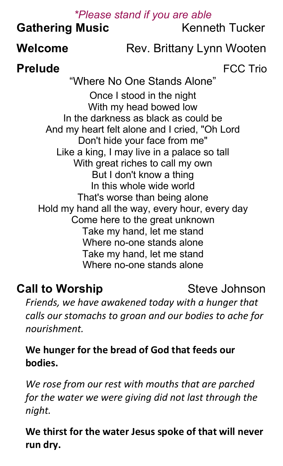#### *\*Please stand if you are able*

## **Gathering Music Kenneth Tucker**

# **Welcome** Rev. Brittany Lynn Wooten

**Prelude** FCC Trio

"Where No One Stands Alone" Once I stood in the night With my head bowed low In the darkness as black as could be And my heart felt alone and I cried, "Oh Lord Don't hide your face from me" Like a king, I may live in a palace so tall With great riches to call my own But I don't know a thing In this whole wide world That's worse than being alone Hold my hand all the way, every hour, every day Come here to the great unknown Take my hand, let me stand Where no-one stands alone Take my hand, let me stand Where no-one stands alone

## **Call to Worship**  Steve Johnson

*Friends, we have awakened today with a hunger that calls our stomachs to groan and our bodies to ache for nourishment.*

**We hunger for the bread of God that feeds our bodies.**

*We rose from our rest with mouths that are parched for the water we were giving did not last through the night.*

**We thirst for the water Jesus spoke of that will never run dry.**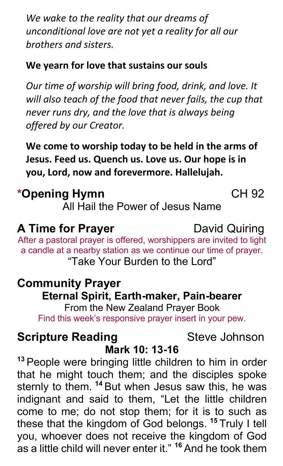*We wake to the reality that our dreams of unconditional love are not yet a reality for all our brothers and sisters.*

#### **We yearn for love that sustains our souls**

*Our time of worship will bring food, drink, and love. It will also teach of the food that never fails, the cup that never runs dry, and the love that is always being offered by our Creator.*

**We come to worship today to be held in the arms of Jesus. Feed us. Quench us. Love us. Our hope is in you, Lord, now and forevermore. Hallelujah.**

# **\*Opening Hymn** CH 92

All Hail the Power of Jesus Name

## **A Time for Prayer** David Quiring

After a pastoral prayer is offered, worshippers are invited to light a candle at a nearby station as we continue our time of prayer. "Take Your Burden to the Lord"

## **Community Prayer Eternal Spirit, Earth-maker, Pain-bearer**

From the New Zealand Prayer Book Find this week's responsive prayer insert in your pew.

# **Scripture Reading 6 Steve Johnson**

# **Mark 10: 13-16**

**<sup>13</sup>** People were bringing little children to him in order that he might touch them; and the disciples spoke sternly to them. **<sup>14</sup>** But when Jesus saw this, he was indignant and said to them, "Let the little children come to me; do not stop them; for it is to such as these that the kingdom of God belongs. **<sup>15</sup>** Truly I tell you, whoever does not receive the kingdom of God as a little child will never enter it." **<sup>16</sup>** And he took them